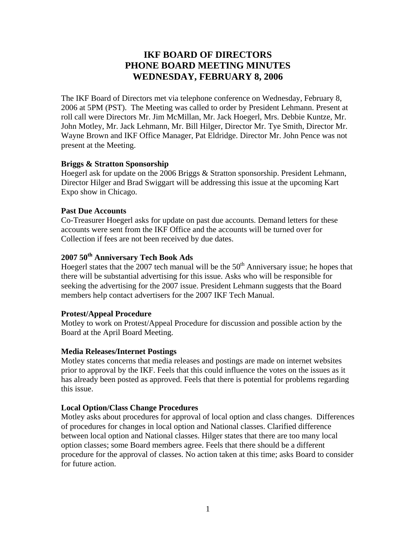# **IKF BOARD OF DIRECTORS PHONE BOARD MEETING MINUTES WEDNESDAY, FEBRUARY 8, 2006**

The IKF Board of Directors met via telephone conference on Wednesday, February 8, 2006 at 5PM (PST). The Meeting was called to order by President Lehmann. Present at roll call were Directors Mr. Jim McMillan, Mr. Jack Hoegerl, Mrs. Debbie Kuntze, Mr. John Motley, Mr. Jack Lehmann, Mr. Bill Hilger, Director Mr. Tye Smith, Director Mr. Wayne Brown and IKF Office Manager, Pat Eldridge. Director Mr. John Pence was not present at the Meeting.

# **Briggs & Stratton Sponsorship**

Hoegerl ask for update on the 2006 Briggs & Stratton sponsorship. President Lehmann, Director Hilger and Brad Swiggart will be addressing this issue at the upcoming Kart Expo show in Chicago.

# **Past Due Accounts**

Co-Treasurer Hoegerl asks for update on past due accounts. Demand letters for these accounts were sent from the IKF Office and the accounts will be turned over for Collection if fees are not been received by due dates.

# **2007 50th Anniversary Tech Book Ads**

Hoegerl states that the 2007 tech manual will be the  $50<sup>th</sup>$  Anniversary issue; he hopes that there will be substantial advertising for this issue. Asks who will be responsible for seeking the advertising for the 2007 issue. President Lehmann suggests that the Board members help contact advertisers for the 2007 IKF Tech Manual.

# **Protest/Appeal Procedure**

Motley to work on Protest/Appeal Procedure for discussion and possible action by the Board at the April Board Meeting.

# **Media Releases/Internet Postings**

Motley states concerns that media releases and postings are made on internet websites prior to approval by the IKF. Feels that this could influence the votes on the issues as it has already been posted as approved. Feels that there is potential for problems regarding this issue.

# **Local Option/Class Change Procedures**

Motley asks about procedures for approval of local option and class changes. Differences of procedures for changes in local option and National classes. Clarified difference between local option and National classes. Hilger states that there are too many local option classes; some Board members agree. Feels that there should be a different procedure for the approval of classes. No action taken at this time; asks Board to consider for future action.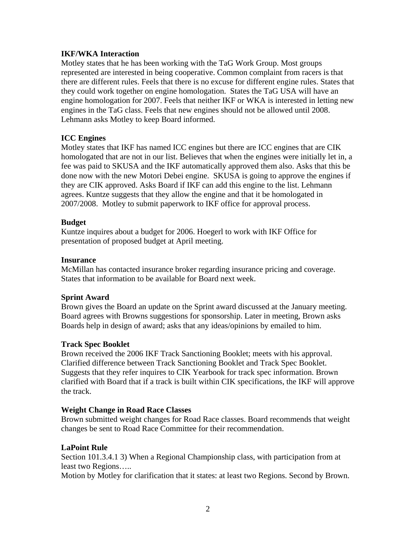# **IKF/WKA Interaction**

Motley states that he has been working with the TaG Work Group. Most groups represented are interested in being cooperative. Common complaint from racers is that there are different rules. Feels that there is no excuse for different engine rules. States that they could work together on engine homologation. States the TaG USA will have an engine homologation for 2007. Feels that neither IKF or WKA is interested in letting new engines in the TaG class. Feels that new engines should not be allowed until 2008. Lehmann asks Motley to keep Board informed.

# **ICC Engines**

Motley states that IKF has named ICC engines but there are ICC engines that are CIK homologated that are not in our list. Believes that when the engines were initially let in, a fee was paid to SKUSA and the IKF automatically approved them also. Asks that this be done now with the new Motori Debei engine. SKUSA is going to approve the engines if they are CIK approved. Asks Board if IKF can add this engine to the list. Lehmann agrees. Kuntze suggests that they allow the engine and that it be homologated in 2007/2008. Motley to submit paperwork to IKF office for approval process.

#### **Budget**

Kuntze inquires about a budget for 2006. Hoegerl to work with IKF Office for presentation of proposed budget at April meeting.

#### **Insurance**

McMillan has contacted insurance broker regarding insurance pricing and coverage. States that information to be available for Board next week.

#### **Sprint Award**

Brown gives the Board an update on the Sprint award discussed at the January meeting. Board agrees with Browns suggestions for sponsorship. Later in meeting, Brown asks Boards help in design of award; asks that any ideas/opinions by emailed to him.

#### **Track Spec Booklet**

Brown received the 2006 IKF Track Sanctioning Booklet; meets with his approval. Clarified difference between Track Sanctioning Booklet and Track Spec Booklet. Suggests that they refer inquires to CIK Yearbook for track spec information. Brown clarified with Board that if a track is built within CIK specifications, the IKF will approve the track.

#### **Weight Change in Road Race Classes**

Brown submitted weight changes for Road Race classes. Board recommends that weight changes be sent to Road Race Committee for their recommendation.

#### **LaPoint Rule**

Section 101.3.4.1 3) When a Regional Championship class, with participation from at least two Regions…..

Motion by Motley for clarification that it states: at least two Regions. Second by Brown.